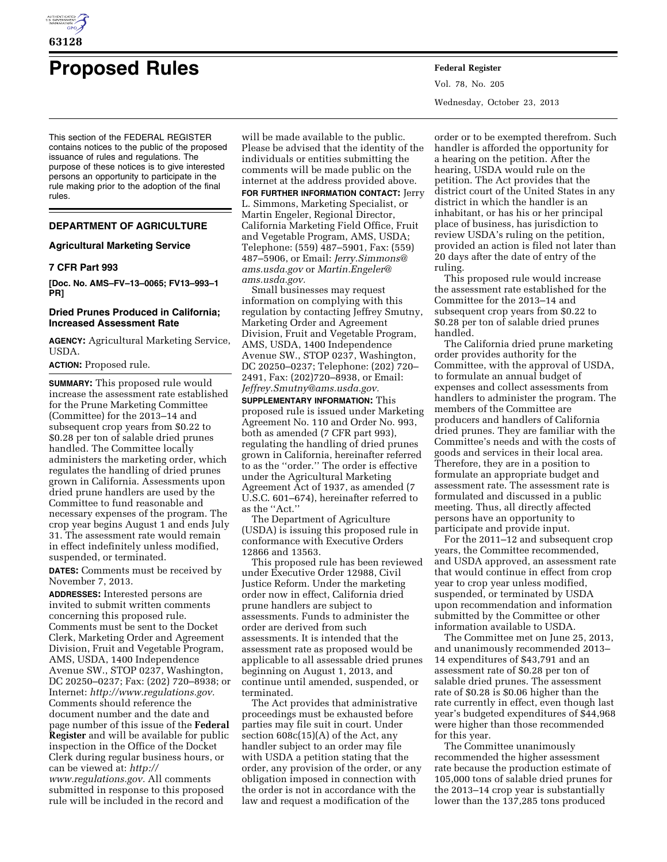

# **Proposed Rules Federal Register**

This section of the FEDERAL REGISTER contains notices to the public of the proposed issuance of rules and regulations. The purpose of these notices is to give interested persons an opportunity to participate in the rule making prior to the adoption of the final rules.

# **DEPARTMENT OF AGRICULTURE**

## **Agricultural Marketing Service**

#### **7 CFR Part 993**

**[Doc. No. AMS–FV–13–0065; FV13–993–1 PR]** 

### **Dried Prunes Produced in California; Increased Assessment Rate**

**AGENCY:** Agricultural Marketing Service, USDA.

## **ACTION:** Proposed rule.

**SUMMARY:** This proposed rule would increase the assessment rate established for the Prune Marketing Committee (Committee) for the 2013–14 and subsequent crop years from \$0.22 to \$0.28 per ton of salable dried prunes handled. The Committee locally administers the marketing order, which regulates the handling of dried prunes grown in California. Assessments upon dried prune handlers are used by the Committee to fund reasonable and necessary expenses of the program. The crop year begins August 1 and ends July 31. The assessment rate would remain in effect indefinitely unless modified, suspended, or terminated.

**DATES:** Comments must be received by November 7, 2013.

**ADDRESSES:** Interested persons are invited to submit written comments concerning this proposed rule. Comments must be sent to the Docket Clerk, Marketing Order and Agreement Division, Fruit and Vegetable Program, AMS, USDA, 1400 Independence Avenue SW., STOP 0237, Washington, DC 20250–0237; Fax: (202) 720–8938; or Internet: *[http://www.regulations.gov.](http://www.regulations.gov)*  Comments should reference the document number and the date and page number of this issue of the **Federal Register** and will be available for public inspection in the Office of the Docket Clerk during regular business hours, or can be viewed at: *[http://](http://www.regulations.gov) [www.regulations.gov.](http://www.regulations.gov)* All comments submitted in response to this proposed rule will be included in the record and

will be made available to the public. Please be advised that the identity of the individuals or entities submitting the comments will be made public on the internet at the address provided above.

**FOR FURTHER INFORMATION CONTACT:** Jerry L. Simmons, Marketing Specialist, or Martin Engeler, Regional Director, California Marketing Field Office, Fruit and Vegetable Program, AMS, USDA; Telephone: (559) 487–5901, Fax: (559) 487–5906, or Email: *[Jerry.Simmons@](mailto:Jerry.Simmons@ams.usda.gov) [ams.usda.gov](mailto:Jerry.Simmons@ams.usda.gov)* or *[Martin.Engeler@](mailto:Martin.Engeler@ams.usda.gov) [ams.usda.gov.](mailto:Martin.Engeler@ams.usda.gov)* 

Small businesses may request information on complying with this regulation by contacting Jeffrey Smutny, Marketing Order and Agreement Division, Fruit and Vegetable Program, AMS, USDA, 1400 Independence Avenue SW., STOP 0237, Washington, DC 20250–0237; Telephone: (202) 720– 2491, Fax: (202)720–8938, or Email: *[Jeffrey.Smutny@ams.usda.gov.](mailto:Jeffrey.Smutny@ams.usda.gov)* 

**SUPPLEMENTARY INFORMATION:** This proposed rule is issued under Marketing Agreement No. 110 and Order No. 993, both as amended (7 CFR part 993), regulating the handling of dried prunes grown in California, hereinafter referred to as the ''order.'' The order is effective under the Agricultural Marketing Agreement Act of 1937, as amended (7 U.S.C. 601–674), hereinafter referred to as the ''Act.''

The Department of Agriculture (USDA) is issuing this proposed rule in conformance with Executive Orders 12866 and 13563.

This proposed rule has been reviewed under Executive Order 12988, Civil Justice Reform. Under the marketing order now in effect, California dried prune handlers are subject to assessments. Funds to administer the order are derived from such assessments. It is intended that the assessment rate as proposed would be applicable to all assessable dried prunes beginning on August 1, 2013, and continue until amended, suspended, or terminated.

The Act provides that administrative proceedings must be exhausted before parties may file suit in court. Under section 608c(15)(A) of the Act, any handler subject to an order may file with USDA a petition stating that the order, any provision of the order, or any obligation imposed in connection with the order is not in accordance with the law and request a modification of the

Vol. 78, No. 205 Wednesday, October 23, 2013

order or to be exempted therefrom. Such handler is afforded the opportunity for a hearing on the petition. After the hearing, USDA would rule on the petition. The Act provides that the district court of the United States in any district in which the handler is an inhabitant, or has his or her principal place of business, has jurisdiction to review USDA's ruling on the petition, provided an action is filed not later than 20 days after the date of entry of the ruling.

This proposed rule would increase the assessment rate established for the Committee for the 2013–14 and subsequent crop years from \$0.22 to \$0.28 per ton of salable dried prunes handled.

The California dried prune marketing order provides authority for the Committee, with the approval of USDA, to formulate an annual budget of expenses and collect assessments from handlers to administer the program. The members of the Committee are producers and handlers of California dried prunes. They are familiar with the Committee's needs and with the costs of goods and services in their local area. Therefore, they are in a position to formulate an appropriate budget and assessment rate. The assessment rate is formulated and discussed in a public meeting. Thus, all directly affected persons have an opportunity to participate and provide input.

For the 2011–12 and subsequent crop years, the Committee recommended, and USDA approved, an assessment rate that would continue in effect from crop year to crop year unless modified, suspended, or terminated by USDA upon recommendation and information submitted by the Committee or other information available to USDA.

The Committee met on June 25, 2013, and unanimously recommended 2013– 14 expenditures of \$43,791 and an assessment rate of \$0.28 per ton of salable dried prunes. The assessment rate of \$0.28 is \$0.06 higher than the rate currently in effect, even though last year's budgeted expenditures of \$44,968 were higher than those recommended for this year.

The Committee unanimously recommended the higher assessment rate because the production estimate of 105,000 tons of salable dried prunes for the 2013–14 crop year is substantially lower than the 137,285 tons produced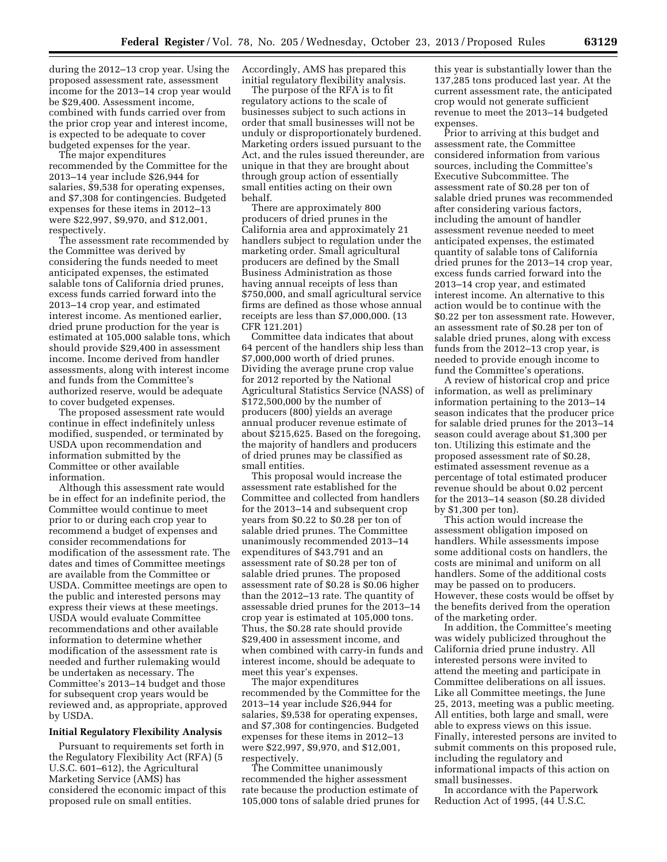during the 2012–13 crop year. Using the proposed assessment rate, assessment income for the 2013–14 crop year would be \$29,400. Assessment income, combined with funds carried over from the prior crop year and interest income, is expected to be adequate to cover budgeted expenses for the year.

The major expenditures recommended by the Committee for the 2013–14 year include \$26,944 for salaries, \$9,538 for operating expenses, and \$7,308 for contingencies. Budgeted expenses for these items in 2012–13 were \$22,997, \$9,970, and \$12,001, respectively.

The assessment rate recommended by the Committee was derived by considering the funds needed to meet anticipated expenses, the estimated salable tons of California dried prunes, excess funds carried forward into the 2013–14 crop year, and estimated interest income. As mentioned earlier, dried prune production for the year is estimated at 105,000 salable tons, which should provide \$29,400 in assessment income. Income derived from handler assessments, along with interest income and funds from the Committee's authorized reserve, would be adequate to cover budgeted expenses.

The proposed assessment rate would continue in effect indefinitely unless modified, suspended, or terminated by USDA upon recommendation and information submitted by the Committee or other available information.

Although this assessment rate would be in effect for an indefinite period, the Committee would continue to meet prior to or during each crop year to recommend a budget of expenses and consider recommendations for modification of the assessment rate. The dates and times of Committee meetings are available from the Committee or USDA. Committee meetings are open to the public and interested persons may express their views at these meetings. USDA would evaluate Committee recommendations and other available information to determine whether modification of the assessment rate is needed and further rulemaking would be undertaken as necessary. The Committee's 2013–14 budget and those for subsequent crop years would be reviewed and, as appropriate, approved by USDA.

#### **Initial Regulatory Flexibility Analysis**

Pursuant to requirements set forth in the Regulatory Flexibility Act (RFA) (5 U.S.C. 601–612), the Agricultural Marketing Service (AMS) has considered the economic impact of this proposed rule on small entities.

Accordingly, AMS has prepared this initial regulatory flexibility analysis.

The purpose of the RFA is to fit regulatory actions to the scale of businesses subject to such actions in order that small businesses will not be unduly or disproportionately burdened. Marketing orders issued pursuant to the Act, and the rules issued thereunder, are unique in that they are brought about through group action of essentially small entities acting on their own behalf.

There are approximately 800 producers of dried prunes in the California area and approximately 21 handlers subject to regulation under the marketing order. Small agricultural producers are defined by the Small Business Administration as those having annual receipts of less than \$750,000, and small agricultural service firms are defined as those whose annual receipts are less than \$7,000,000. (13 CFR 121.201)

Committee data indicates that about 64 percent of the handlers ship less than \$7,000,000 worth of dried prunes. Dividing the average prune crop value for 2012 reported by the National Agricultural Statistics Service (NASS) of \$172,500,000 by the number of producers (800) yields an average annual producer revenue estimate of about \$215,625. Based on the foregoing, the majority of handlers and producers of dried prunes may be classified as small entities.

This proposal would increase the assessment rate established for the Committee and collected from handlers for the 2013–14 and subsequent crop years from \$0.22 to \$0.28 per ton of salable dried prunes. The Committee unanimously recommended 2013–14 expenditures of \$43,791 and an assessment rate of \$0.28 per ton of salable dried prunes. The proposed assessment rate of \$0.28 is \$0.06 higher than the 2012–13 rate. The quantity of assessable dried prunes for the 2013–14 crop year is estimated at 105,000 tons. Thus, the \$0.28 rate should provide \$29,400 in assessment income, and when combined with carry-in funds and interest income, should be adequate to meet this year's expenses.

The major expenditures recommended by the Committee for the 2013–14 year include \$26,944 for salaries, \$9,538 for operating expenses, and \$7,308 for contingencies. Budgeted expenses for these items in 2012–13 were \$22,997, \$9,970, and \$12,001, respectively.

The Committee unanimously recommended the higher assessment rate because the production estimate of 105,000 tons of salable dried prunes for

this year is substantially lower than the 137,285 tons produced last year. At the current assessment rate, the anticipated crop would not generate sufficient revenue to meet the 2013–14 budgeted expenses.

Prior to arriving at this budget and assessment rate, the Committee considered information from various sources, including the Committee's Executive Subcommittee. The assessment rate of \$0.28 per ton of salable dried prunes was recommended after considering various factors, including the amount of handler assessment revenue needed to meet anticipated expenses, the estimated quantity of salable tons of California dried prunes for the 2013–14 crop year, excess funds carried forward into the 2013–14 crop year, and estimated interest income. An alternative to this action would be to continue with the \$0.22 per ton assessment rate. However, an assessment rate of \$0.28 per ton of salable dried prunes, along with excess funds from the 2012–13 crop year, is needed to provide enough income to fund the Committee's operations.

A review of historical crop and price information, as well as preliminary information pertaining to the 2013–14 season indicates that the producer price for salable dried prunes for the 2013–14 season could average about \$1,300 per ton. Utilizing this estimate and the proposed assessment rate of \$0.28, estimated assessment revenue as a percentage of total estimated producer revenue should be about 0.02 percent for the 2013–14 season (\$0.28 divided by \$1,300 per ton).

This action would increase the assessment obligation imposed on handlers. While assessments impose some additional costs on handlers, the costs are minimal and uniform on all handlers. Some of the additional costs may be passed on to producers. However, these costs would be offset by the benefits derived from the operation of the marketing order.

In addition, the Committee's meeting was widely publicized throughout the California dried prune industry. All interested persons were invited to attend the meeting and participate in Committee deliberations on all issues. Like all Committee meetings, the June 25, 2013, meeting was a public meeting. All entities, both large and small, were able to express views on this issue. Finally, interested persons are invited to submit comments on this proposed rule, including the regulatory and informational impacts of this action on small businesses.

In accordance with the Paperwork Reduction Act of 1995, (44 U.S.C.